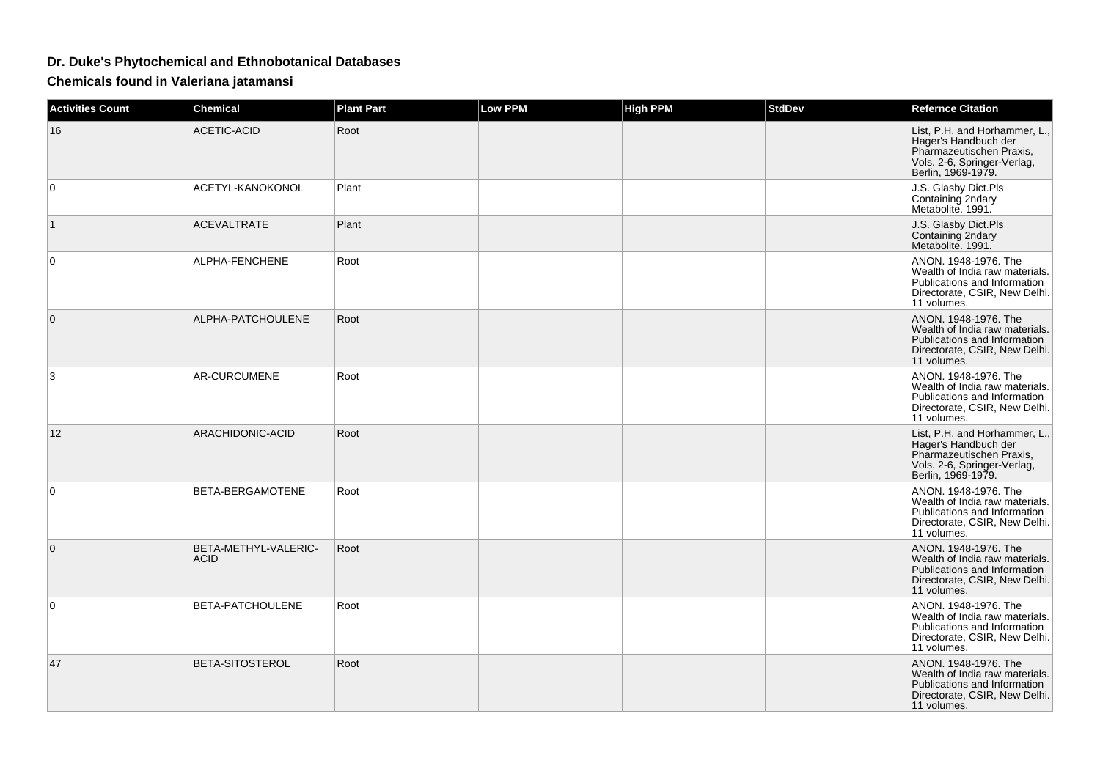## **Dr. Duke's Phytochemical and Ethnobotanical Databases**

**Chemicals found in Valeriana jatamansi**

| <b>Activities Count</b> | <b>Chemical</b>                     | <b>Plant Part</b> | <b>Low PPM</b> | <b>High PPM</b> | <b>StdDev</b> | <b>Refernce Citation</b>                                                                                                               |
|-------------------------|-------------------------------------|-------------------|----------------|-----------------|---------------|----------------------------------------------------------------------------------------------------------------------------------------|
| 16                      | <b>ACETIC-ACID</b>                  | Root              |                |                 |               | List, P.H. and Horhammer, L.,<br>Hager's Handbuch der<br>Pharmazeutischen Praxis,<br>Vols. 2-6, Springer-Verlag,<br>Berlin, 1969-1979. |
| $\mathbf 0$             | ACETYL-KANOKONOL                    | Plant             |                |                 |               | J.S. Glasby Dict.Pls<br>Containing 2ndary<br>Metabolite. 1991.                                                                         |
| $\overline{1}$          | <b>ACEVALTRATE</b>                  | Plant             |                |                 |               | J.S. Glasby Dict.Pls<br>Containing 2ndary<br>Metabolite. 1991.                                                                         |
| 0                       | ALPHA-FENCHENE                      | Root              |                |                 |               | ANON. 1948-1976. The<br>Wealth of India raw materials.<br>Publications and Information<br>Directorate, CSIR, New Delhi.<br>11 volumes. |
| $\mathbf{0}$            | ALPHA-PATCHOULENE                   | Root              |                |                 |               | ANON, 1948-1976. The<br>Wealth of India raw materials.<br>Publications and Information<br>Directorate, CSIR, New Delhi.<br>11 volumes. |
| 3                       | <b>AR-CURCUMENE</b>                 | Root              |                |                 |               | ANON, 1948-1976. The<br>Wealth of India raw materials.<br>Publications and Information<br>Directorate, CSIR, New Delhi.<br>11 volumes. |
| 12                      | ARACHIDONIC-ACID                    | Root              |                |                 |               | List, P.H. and Horhammer, L.,<br>Hager's Handbuch der<br>Pharmazeutischen Praxis,<br>Vols. 2-6, Springer-Verlag,<br>Berlin, 1969-1979. |
| $\mathbf 0$             | BETA-BERGAMOTENE                    | Root              |                |                 |               | ANON, 1948-1976. The<br>Wealth of India raw materials.<br>Publications and Information<br>Directorate, CSIR, New Delhi.<br>11 volumes. |
| $\mathbf{0}$            | BETA-METHYL-VALERIC-<br><b>ACID</b> | Root              |                |                 |               | ANON, 1948-1976. The<br>Wealth of India raw materials.<br>Publications and Information<br>Directorate, CSIR, New Delhi.<br>11 volumes. |
| $\Omega$                | BETA-PATCHOULENE                    | Root              |                |                 |               | ANON, 1948-1976. The<br>Wealth of India raw materials.<br>Publications and Information<br>Directorate, CSIR, New Delhi.<br>11 volumes. |
| 47                      | <b>BETA-SITOSTEROL</b>              | Root              |                |                 |               | ANON, 1948-1976. The<br>Wealth of India raw materials.<br>Publications and Information<br>Directorate, CSIR, New Delhi.<br>11 volumes. |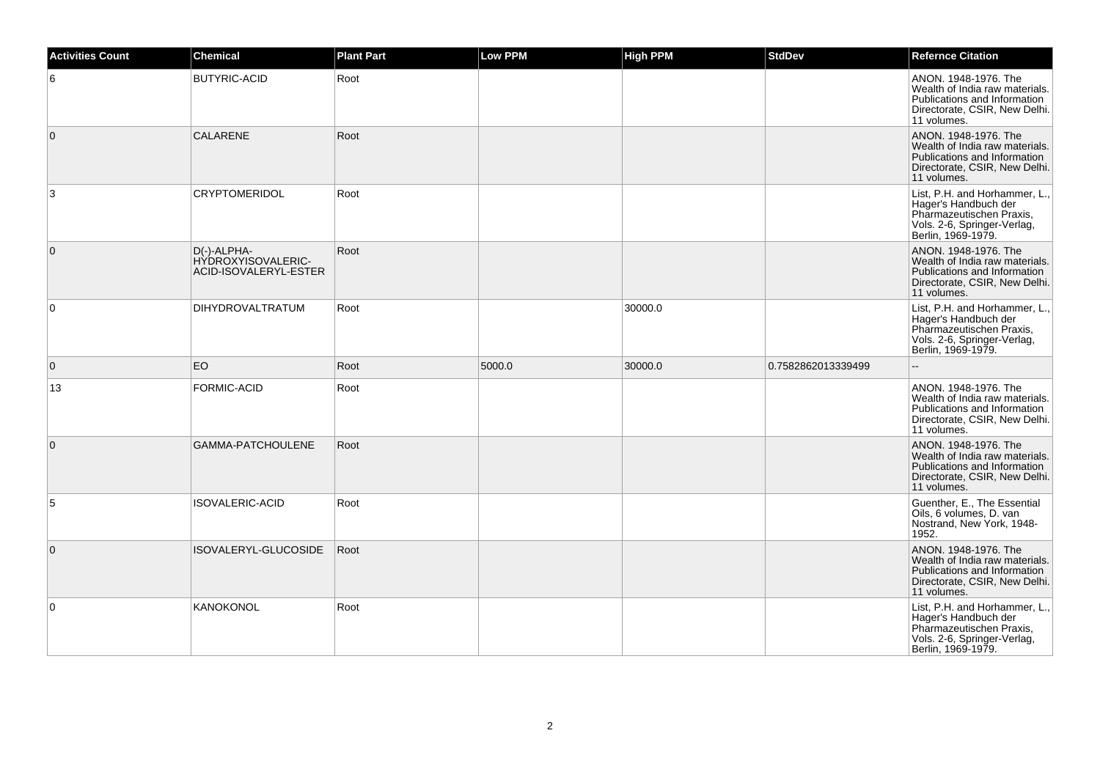| <b>Activities Count</b> | <b>Chemical</b>                                            | <b>Plant Part</b> | <b>Low PPM</b> | <b>High PPM</b> | <b>StdDev</b>      | <b>Refernce Citation</b>                                                                                                               |
|-------------------------|------------------------------------------------------------|-------------------|----------------|-----------------|--------------------|----------------------------------------------------------------------------------------------------------------------------------------|
| 6                       | <b>BUTYRIC-ACID</b>                                        | Root              |                |                 |                    | ANON. 1948-1976. The<br>Wealth of India raw materials.<br>Publications and Information<br>Directorate, CSIR, New Delhi.<br>11 volumes. |
| $\mathbf 0$             | CALARENE                                                   | Root              |                |                 |                    | ANON. 1948-1976. The<br>Wealth of India raw materials.<br>Publications and Information<br>Directorate, CSIR, New Delhi.<br>11 volumes. |
| 3                       | <b>CRYPTOMERIDOL</b>                                       | Root              |                |                 |                    | List, P.H. and Horhammer, L.,<br>Hager's Handbuch der<br>Pharmazeutischen Praxis,<br>Vols. 2-6, Springer-Verlag,<br>Berlin, 1969-1979. |
| $\mathbf 0$             | D(-)-ALPHA-<br>HYDROXYISOVALERIC-<br>ACID-ISOVALERYL-ESTER | Root              |                |                 |                    | ANON. 1948-1976. The<br>Wealth of India raw materials.<br>Publications and Information<br>Directorate, CSIR, New Delhi.<br>11 volumes. |
| $\mathbf 0$             | <b>DIHYDROVALTRATUM</b>                                    | Root              |                | 30000.0         |                    | List, P.H. and Horhammer, L.,<br>Hager's Handbuch der<br>Pharmazeutischen Praxis,<br>Vols. 2-6, Springer-Verlag,<br>Berlin, 1969-1979. |
| $\mathbf 0$             | EO                                                         | Root              | 5000.0         | 30000.0         | 0.7582862013339499 |                                                                                                                                        |
| 13                      | FORMIC-ACID                                                | Root              |                |                 |                    | ANON. 1948-1976. The<br>Wealth of India raw materials.<br>Publications and Information<br>Directorate, CSIR, New Delhi.<br>11 volumes. |
| $\overline{0}$          | GAMMA-PATCHOULENE                                          | Root              |                |                 |                    | ANON. 1948-1976. The<br>Wealth of India raw materials.<br>Publications and Information<br>Directorate, CSIR, New Delhi.<br>11 volumes. |
| 5                       | ISOVALERIC-ACID                                            | Root              |                |                 |                    | Guenther, E., The Essential<br>Oils, 6 volumes, D. van<br>Nostrand, New York, 1948-<br>1952.                                           |
| $\mathbf{0}$            | ISOVALERYL-GLUCOSIDE                                       | Root              |                |                 |                    | ANON. 1948-1976. The<br>Wealth of India raw materials.<br>Publications and Information<br>Directorate, CSIR, New Delhi.<br>11 volumes. |
| $\mathbf 0$             | <b>KANOKONOL</b>                                           | Root              |                |                 |                    | List, P.H. and Horhammer, L.,<br>Hager's Handbuch der<br>Pharmazeutischen Praxis,<br>Vols. 2-6, Springer-Verlag,<br>Berlin, 1969-1979. |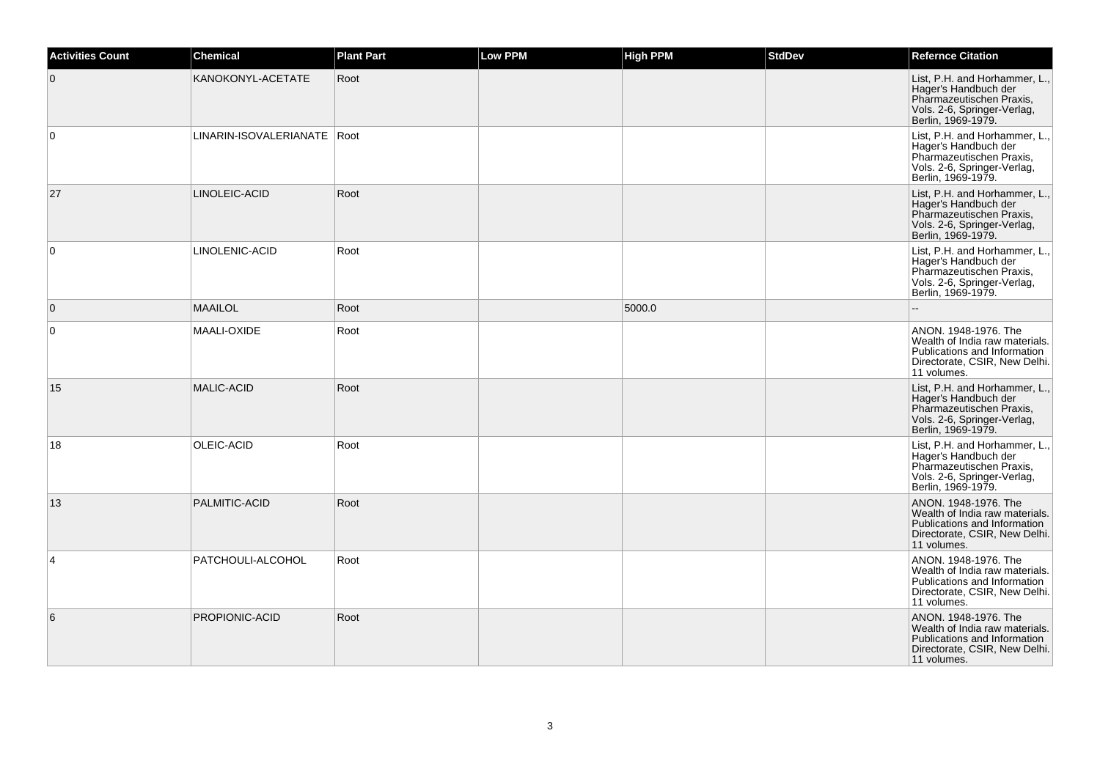| <b>Activities Count</b> | <b>Chemical</b>               | <b>Plant Part</b> | Low PPM | <b>High PPM</b> | <b>StdDev</b> | <b>Refernce Citation</b>                                                                                                               |
|-------------------------|-------------------------------|-------------------|---------|-----------------|---------------|----------------------------------------------------------------------------------------------------------------------------------------|
| $\mathbf 0$             | KANOKONYL-ACETATE             | Root              |         |                 |               | List, P.H. and Horhammer, L.,<br>Hager's Handbuch der<br>Pharmazeutischen Praxis,<br>Vols. 2-6, Springer-Verlag,<br>Berlin, 1969-1979. |
| $\mathbf 0$             | LINARIN-ISOVALERIANATE   Root |                   |         |                 |               | List, P.H. and Horhammer, L.,<br>Hager's Handbuch der<br>Pharmazeutischen Praxis,<br>Vols. 2-6, Springer-Verlag,<br>Berlin, 1969-1979. |
| 27                      | LINOLEIC-ACID                 | Root              |         |                 |               | List, P.H. and Horhammer, L.,<br>Hager's Handbuch der<br>Pharmazeutischen Praxis,<br>Vols. 2-6, Springer-Verlag,<br>Berlin, 1969-1979. |
| $\Omega$                | LINOLENIC-ACID                | Root              |         |                 |               | List, P.H. and Horhammer, L.,<br>Hager's Handbuch der<br>Pharmazeutischen Praxis,<br>Vols. 2-6, Springer-Verlag,<br>Berlin, 1969-1979. |
| $\mathbf 0$             | <b>MAAILOL</b>                | Root              |         | 5000.0          |               |                                                                                                                                        |
| 0                       | MAALI-OXIDE                   | Root              |         |                 |               | ANON. 1948-1976. The<br>Wealth of India raw materials.<br>Publications and Information<br>Directorate, CSIR, New Delhi.<br>11 volumes. |
| 15                      | <b>MALIC-ACID</b>             | Root              |         |                 |               | List, P.H. and Horhammer, L.,<br>Hager's Handbuch der<br>Pharmazeutischen Praxis,<br>Vols. 2-6, Springer-Verlag,<br>Berlin, 1969-1979. |
| 18                      | OLEIC-ACID                    | Root              |         |                 |               | List, P.H. and Horhammer, L.,<br>Hager's Handbuch der<br>Pharmazeutischen Praxis,<br>Vols. 2-6, Springer-Verlag,<br>Berlin, 1969-1979. |
| 13                      | PALMITIC-ACID                 | Root              |         |                 |               | ANON. 1948-1976. The<br>Wealth of India raw materials.<br>Publications and Information<br>Directorate, CSIR, New Delhi.<br>11 volumes. |
| 4                       | PATCHOULI-ALCOHOL             | Root              |         |                 |               | ANON. 1948-1976. The<br>Wealth of India raw materials.<br>Publications and Information<br>Directorate, CSIR, New Delhi.<br>11 volumes. |
| 6                       | PROPIONIC-ACID                | Root              |         |                 |               | ANON. 1948-1976. The<br>Wealth of India raw materials.<br>Publications and Information<br>Directorate, CSIR, New Delhi.<br>11 volumes. |